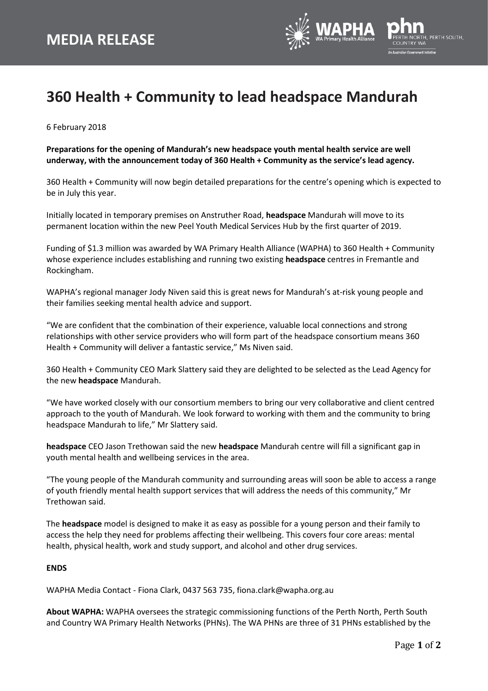

## **360 Health + Community to lead headspace Mandurah**

6 February 2018

**Preparations for the opening of Mandurah's new headspace youth mental health service are well underway, with the announcement today of 360 Health + Community as the service's lead agency.**

360 Health + Community will now begin detailed preparations for the centre's opening which is expected to be in July this year.

Initially located in temporary premises on Anstruther Road, **headspace** Mandurah will move to its permanent location within the new Peel Youth Medical Services Hub by the first quarter of 2019.

Funding of \$1.3 million was awarded by WA Primary Health Alliance (WAPHA) to 360 Health + Community whose experience includes establishing and running two existing **headspace** centres in Fremantle and Rockingham.

WAPHA's regional manager Jody Niven said this is great news for Mandurah's at-risk young people and their families seeking mental health advice and support.

"We are confident that the combination of their experience, valuable local connections and strong relationships with other service providers who will form part of the headspace consortium means 360 Health + Community will deliver a fantastic service," Ms Niven said.

360 Health + Community CEO Mark Slattery said they are delighted to be selected as the Lead Agency for the new **headspace** Mandurah.

"We have worked closely with our consortium members to bring our very collaborative and client centred approach to the youth of Mandurah. We look forward to working with them and the community to bring headspace Mandurah to life," Mr Slattery said.

**headspace** CEO Jason Trethowan said the new **headspace** Mandurah centre will fill a significant gap in youth mental health and wellbeing services in the area.

"The young people of the Mandurah community and surrounding areas will soon be able to access a range of youth friendly mental health support services that will address the needs of this community," Mr Trethowan said.

The **headspace** model is designed to make it as easy as possible for a young person and their family to access the help they need for problems affecting their wellbeing. This covers four core areas: mental health, physical health, work and study support, and alcohol and other drug services.

## **ENDS**

WAPHA Media Contact - Fiona Clark, 0437 563 735, fiona.clark@wapha.org.au

**About WAPHA:** WAPHA oversees the strategic commissioning functions of the Perth North, Perth South and Country WA Primary Health Networks (PHNs). The WA PHNs are three of 31 PHNs established by the